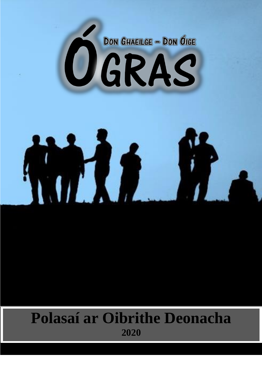

# 

# **Polasaí ar Oibrithe Deonacha 2020**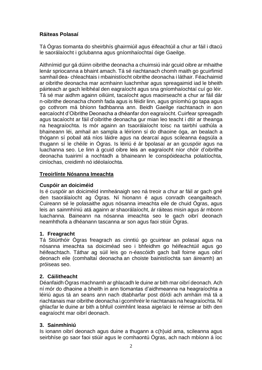#### **Ráiteas Polasaí**

Tá Ógras tiomanta do sheirbhís ghairmiúil agus éifeachtúil a chur ar fáil i dtacú le saorálaíocht i gclubanna agus gníomhaíochtaí óige Gaeilge.

Aithnímid gur gá dúinn oibrithe deonacha a chuimsiú inár gcuid oibre ar mhaithe lenár spriocanna a bhaint amach. Tá sé riachtanach chomh maith go gcuirfimid samhail dea- chleachtais i mbainistíocht oibrithe deonacha i láthair. Féachaimid ar oibrithe deonacha mar acmhainn luachmhar agus spreagaimid iad le bheith páirteach ar gach leibhéal den eagraíocht agus sna gníomhaíochtaí cuí go léir. Tá sé mar aidhm againn oiliúint, tacaíocht agus maoirseacht a chur ar fáil dár n-oibrithe deonacha chomh fada agus is féidir linn, agus gníomhú go tapa agus go cothrom má bhíonn fadhbanna ann. Beidh Gaeilge riachtanach in aon earcaíocht d'Oibrithe Deonacha a dhéanfar don eagraíocht. Cuirfear spreagadh agus tacaíocht ar fáil d'oibrithe deonacha gur mian leo teacht i dtír ar theanga na heagraíochta. Is mór againn an tsaorálaíocht toisc na tairbhí uathúla a bhaineann léi, amhail an sampla a léiríonn sí do dhaoine óga, an bealach a thógann sí pobail atá níos láidre agus na dearcaí agus scileanna éagsúla a thugann sí le chéile in Ógras. Is léiriú é ár bpolasaí ar an gcuspóir agus na luachanna seo. Le linn á gcuid oibre leis an eagraíocht níor chóir d'oibrithe deonacha tuairimí a nochtadh a bhaineann le conspóideacha polaitíochta, ciníochas, creidimh nó idéolaíochta.

#### **Treoirlínte Nósanna Imeachta**

#### **Cuspóir an doiciméid**

Is é cuspóir an doiciméid inmheánaigh seo ná treoir a chur ar fáil ar gach gné den tsaorálaíocht ag Ógras. Ní hionann é agus conradh ceangailteach. Cuireann sé le polasaithe agus nósanna imeachta eile de chuid Ógras, agus leis an sainmhíniú atá againn ar shaorálaíocht, ár ráiteas misin agus ár mbonn luachanna. Baineann na nósanna imeachta seo le gach oibrí deonach neamhthofa a dhéanann tascanna ar son agus faoi stiúir Ógras.

#### **1. Freagracht**

Tá Stiúrthóir Ógras freagrach as cinntiú go gcuirtear an polasaí agus na nósanna imeachta sa doiciméad seo i bhfeidhm go héifeachtúil agus go héifeachtach. Táthar ag súil leis go n-éascóidh gach ball foirne agus oibrí deonach eile (comhaltaí deonacha an choiste bainistíochta san áireamh) an próiseas seo.

#### **2. Cáilitheacht**

Déanfaidh Ógras machnamh ar ghlacadh le duine ar bith mar oibrí deonach. Ach ní mór do dhaoine a bheith in ann tiomantas d'aidhmeanna na heagraíochta a léiriú agus tá an seans ann nach dtabharfar post dó/di ach amháin má tá a riachtanais mar oibrithe deonacha i gcomhréir le riachtanais na heagraíochta. Ní ghlacfar le duine ar bith a bhfuil coimhlint leasa aige/aici le réimse ar bith den eagraíocht mar oibrí deonach.

#### **3. Sainmhíniú**

Is ionann oibrí deonach agus duine a thugann a c(h)uid ama, scileanna agus seirbhíse go saor faoi stiúir agus le comhaontú Ógras, ach nach mbíonn á íoc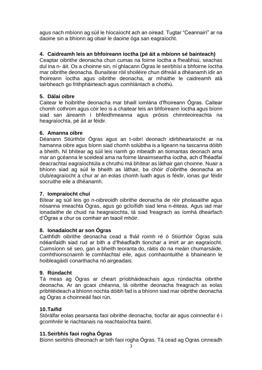agus nach mbíonn ag súil le híocaíocht ach an oiread. Tugtar "Ceannairí" ar na daoine sin a bhíonn ag obair le daoine óga san eagraíocht.

#### **4. Caidreamh leis an bhfoireann íoctha (pé áit a mbíonn sé bainteach)**

Ceaptar oibrithe deonacha chun cumas na foirne íoctha a fheabhsú, seachas dul ina n- áit. Os a choinne sin, ní ghlacann Ógras le seirbhísí a bhfoirne íoctha mar oibrithe deonacha. Bunaítear róil shoiléire chun difreáil a dhéanamh idir an fhoireann íoctha agus oibrithe deonacha, ar mhaithe le caidreamh atá tairbheach go frithpháirteach agus comhlántach a chothú.

#### **5. Dálaí oibre**

Caitear le hoibrithe deonacha mar bhaill iomlána d'fhoireann Ógras. Caitear chomh cothrom agus cóir leo is a chaitear leis an bhfoireann íoctha agus bíonn siad san áireamh i bhfeidhmeanna agus próisis chinnteoireachta na heagraíochta, pé áit ar féidir.

#### **6. Amanna oibre**

Déanann Stiúrthóir Ógras agus an t-oibrí deonach idirbheartaíocht ar na hamanna oibre agus bíonn siad chomh solúbtha is a ligeann na tascanna dóibh a bheith. Ní bhítear ag súil leis riamh go mbeadh an tiomantas deonach ama mar an gcéanna le sceideal ama na foirne lánaimseartha íoctha, ach d'fhéadfaí deacrachtaí eagraíochtúla a chruthú má bhítear as láthair gan choinne. Nuair a bhíonn siad ag súil le bheith as láthair, ba chóir d'oibrithe deonacha an club/eagraíocht a chur ar an eolas chomh luath agus is féidir, ionas gur féidir socruithe eile a dhéanamh.

#### **7. Iompraíocht chuí**

Bítear ag súil leis go n-oibreoidh oibrithe deonacha de réir pholasaithe agus nósanna imeachta Ógras, agus go gcloífidh siad lena n-éiteas. Agus iad mar ionadaithe de chuid na heagraíochta, tá siad freagrach as íomhá dhearfach d'Ógras a chur os comhair an tsaoil mhóir.

#### **8. Ionadaíocht ar son Ógras**

Caithfidh oibrithe deonacha cead a fháil roimh ré ó Stiúrthóir Ógras sula ndéanfaidh siad rud ar bith a d'fhéadfadh tionchar a imirt ar an eagraíocht. Cuimsíonn sé seo, gan a bheith teoranta do, ráitis do na meáin chumarsáide, comhthionscnaimh le comhlachtaí eile, agus comhaontuithe a bhaineann le hoibleagáidí conarthacha nó airgeadais.

#### **9. Rúndacht**

Tá meas ag Ógras ar cheart príobháideachais agus rúndachta oibrithe deonacha. Ar an gcaoi chéanna, tá oibrithe deonacha freagrach as eolas pribhléideach a bhíonn nochta dóibh fad is a bhíonn siad mar oibrithe deonacha ag Ógras a choinneáil faoi rún.

#### **10.Taifid**

Stórálfar eolas pearsanta faoi oibrithe deonacha, tiocfar air agus coinneofar é i gcomhréir le riachtanais na reachtaíochta baintí.

#### **11.Seirbhís faoi rogha Ógras**

Bíonn seirbhís dheonach ar bith faoi rogha Ógras. Tá cead ag Ógras cinneadh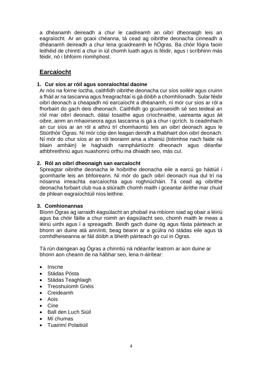a dhéanamh deireadh a chur le caidreamh an oibrí dheonaigh leis an eagraíocht. Ar an gcaoi chéanna, tá cead ag oibrithe deonacha cinneadh a dhéanamh deireadh a chur lena gcaidreamh le hÓgras. Ba chóir fógra faoin leithéid de chinntí a chur in iúl chomh luath agus is féidir, agus i scríbhinn más féidir, nó i bhfoirm ríomhphost.

# **Earcaíocht**

#### **1. Cur síos ar róil agus sonraíochtaí daoine**

Ar nós na foirne íoctha, caithfidh oibrithe deonacha cur síos soiléir agus cruinn a fháil ar na tascanna agus freagrachtaí is gá dóibh a chomhlíonadh. Sular féidir oibrí deonach a cheapadh nó earcaíocht a dhéanamh, ní mór cur síos ar ról a fhorbairt do gach deis dheonach. Caithfidh go gcuimseoidh sé seo teideal an róil mar oibrí deonach, dátaí tosaithe agus críochnaithe, uaireanta agus áit oibre, ainm an mhaoirseora agus tascanna is gá a chur i gcrích. Is ceadmhach an cur síos ar an ról a athrú trí chomhaontú leis an oibrí deonach agus le Stiúrthóir Ógras. Ní mór cóip den leagan deiridh a thabhairt don oibrí deonach. Ní mór do chur síos ar an ról teorainn ama a shainiú (tréimhse nach faide ná bliain amháin) le haghaidh rannpháirtíocht dheonach agus déanfar athbhreithniú agus nuashonrú orthu ina dhiaidh seo, más cuí.

#### **2. Ról an oibrí dheonaigh san earcaíocht**

Spreagtar oibrithe deonacha le hoibrithe deonacha eile a earcú go háitiúil i gcomhairle leis an bhfoireann. Ní mór do gach oibrí deonach nua dul trí na nósanna imeachta earcaíochta agus roghnúcháin. Tá cead ag oibrithe deonacha forbairt club nua a stiúradh chomh maith i gceantar áirithe mar chuid de phlean eagraíochtúil níos leithne.

#### **3. Comhionannas**

Bíonn Ógras ag iarraidh éagsúlacht an phobail ina mbíonn siad ag obair a léiriú agus ba chóir fáilte a chur roimh an éagsúlacht seo, chomh maith le meas a léiriú uirthi agus í a spreagadh. Beidh gach duine óg agus fásta páirteach ar bhonn an duine atá ann/inti, beag beann ar a gcúlra nó stádas eile agus tá comhdheiseanna ar fáil dóibh a bheith páirteach go cuí in Ógras.

Tá rún daingean ag Ógras a chinntiú ná ndéanfar leatrom ar aon duine ar bhonn aon cheann de na hábhar seo, lena n-áirítear:

- Inscne
- Stádas Pósta
- Stádas Teaghlaigh
- Treoshuíomh Gnéis
- Creideamh
- Aois
- Cine
- Ball den Luch Siúil
- Mí chumas
- Tuairimí Polaitiúil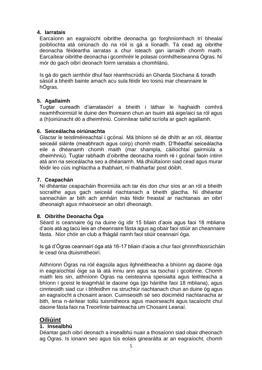#### **4. Iarratais**

Earcaíonn an eagraíocht oibrithe deonacha go forghníomhach trí bhealaí poiblíochta atá oiriúnach do na róil is gá a líonadh. Tá cead ag oibrithe deonacha féideartha iarratas a chur isteach gan iarraidh chomh maith. Earcaítear oibrithe deonacha i gcomhréir le polasaí comhdheiseanna Ógras. Ní mór do gach oibrí deonach foirm iarratais a chomhlánú.

Is gá do gach iarrthóir dhul faoi réamhscrúdú an Gharda Síochana & toradh sásúil a bheith bainte amach acu sula féidir leo tosnú mar cheannaire le hÓgras.

#### **5. Agallaimh**

Tugtar cuireadh d'iarratasóirí a bheith i láthair le haghaidh comhrá neamhfhoirmiúil le duine den fhoireann chun an tsuim atá aige/aici sa ról agus a (h)oiriúnacht dó a dheimhniú. Coinnítear taifid scríofa ar gach agallamh.

#### **6. Seiceálacha oiriúnachta**

Glactar le teistiméireachtaí i gcónaí. Má bhíonn sé de dhíth ar an ról, déantar seiceáil sláinte (meabhrach agus coirp) chomh maith. D'fhéadfaí seiceálacha eile a dhéanamh chomh maith (mar shampla, cáilíochtaí gairmiúla a dheimhniú). Tugtar rabhadh d'oibrithe deonacha roimh ré i gcónaí faoin intinn atá ann na seiceálacha seo a dhéanamh. Má dhiúltaíonn siad cead agus murar féidir leo cúis inghlactha a thabhairt, ní thabharfar post dóibh.

#### **7. Ceapachán**

Ní dhéantar ceapacháin fhoirmiúla ach tar éis don chur síos ar an ról a bheith socraithe agus gach seiceáil riachtanach a bheith glactha. Ní dhéantar sannacháin ar bith ach amháin más féidir freastal ar riachtanais an oibrí dheonaigh agus mhaoirseoir an oibrí dheonaigh.

#### **8. Oibrithe Deonacha Óga**

Séard is ceannaire óg na duine óg idir 15 bliain d'aois agus faoi 18 mbliana d'aois atá ag tacú leis an cheannaire fásta agus ag obair faoi stiúir an cheannaire fásta. Níor chóir an club a fhágáil riamh faoi stiúir ceannairí óga.

Is gá d'Ógras ceannairí óga atá 16-17 bliain d'aois a chur faoi ghrinnfhiosrúcháin le cead óna dtuismitheoirí.

Aithníonn Ógras na róil éagsúla agus ilghnéitheacha a bhíonn ag daoine óga in eagraíochtaí óige sa lá atá inniu ann agus sa tsochaí i gcoitinne. Chomh maith leis sin, aithníonn Ógras na ceisteanna speisialta agus leithleacha a bhíonn i gceist le teagmháil le daoine óga (go háirithe faoi 18 mbliana), agus cinnteoidh siad cur i bhfeidhm na struchtúr riachtanach chun an duine óg agus an eagraíocht a chosaint araon. Cuimseoidh sé seo doiciméid riachtanacha ar bith, lena n-áirítear toiliú tuismitheora agus maoirseacht agus tacaíocht chuí daoine fásta faoi na Treoirlínte bainteacha um Chosaint Leanaí.

# **Oiliúint**

#### **1. Insealbhú**

Déantar gach oibrí deonach a insealbhú nuair a thosaíonn siad obair dheonach ag Ógras. Is ionann seo agus tús eolais ginearálta ar an eagraíocht, chomh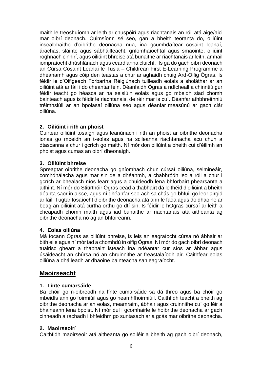maith le treoshuíomh ar leith ar chuspóirí agus riachtanais an róil atá aige/aici mar oibrí deonach. Cuimsíonn sé seo, gan a bheith teoranta do, oiliúint insealbhaithe d'oibrithe deonacha nua, ina gcumhdaítear cosaint leanaí, árachas, sláinte agus sábháilteacht, gníomhaíochtaí agus smaointe, oiliúint roghnach cinnirí, agus oiliúint bhreise atá bunaithe ar riachtanais ar leith, amhail iompraíocht dhúshlánach agus ceardlanna cluichí. Is gá do gach oibrí deonach an Cúrsa Cosaint Leanaí le Tusla – Childrean First E-Learning Programme a dhéanamh agus cóip den teastas a chur ar aghaidh chuig Ard-Oifig Ógras. Is féidir le d'Oifigeach Forbartha Réigiúnach tuilleadh eolais a sholáthar ar an oiliúint atá ar fáil i do cheantar féin. Déanfaidh Ógras a ndícheall a chinntiú gur féidir teacht go héasca ar na seisiúin eolais agus go mbeidh siad chomh bainteach agus is féidir le riachtanais, de réir mar is cuí. Déanfar athbhreithniú tréimhsiúil ar an bpolasaí oiliúna seo agus déanfar measúnú ar gach clár oiliúna.

#### **2. Oiliúint i rith an phoist**

Cuirtear oiliúint tosaigh agus leanúnach i rith an phoist ar oibrithe deonacha ionas go mbeidh an t-eolas agus na scileanna riachtanacha acu chun a dtascanna a chur i gcrích go maith. Ní mór don oiliúint a bheith cuí d'éilimh an phoist agus cumas an oibrí dheonaigh.

#### **3. Oiliúint bhreise**

Spreagtar oibrithe deonacha go gníomhach chun cúrsaí oiliúna, seimineáir, comhdhálacha agus mar sin de a dhéanmh, a chabhródh leo a róil a chur i gcrích ar bhealach níos fearr agus a chuideodh lena bhforbairt phearsanta a aithint. Ní mór do Stiúrthóir Ógras cead a thabhairt dá leithéid d'oiliúint a bheith déanta saor in aisce, agus ní dhéanfar seo ach sa chás go bhfuil go leor airgid ar fáil. Tugtar tosaíocht d'oibrithe deonacha atá ann le fada agus do dhaoine ar beag an oiliúint atá curtha orthu go dtí sin. Is féidir le hÓgras cúrsaí ar leith a cheapadh chomh maith agus iad bunaithe ar riachtanais atá aitheanta ag oibrithe deonacha nó ag an bhfoireann.

#### **4. Eolas oiliúna**

Má íocann Ógras as oiliúint bhreise, is leis an eagraíocht cúrsa nó ábhair ar bith eile agus ní mór iad a chomhdú in oifig Ógras. Ní mór do gach oibrí deonach tuairisc ghearr a thabhairt isteach ina ndéantar cur síos ar ábhar agus úsáideacht an chúrsa nó an chruinnithe ar freastalaíodh air. Caithfear eolas oiliúna a dháileadh ar dhaoine bainteacha san eagraíocht.

# **Maoirseacht**

#### **1. Línte cumarsáide**

Ba chóir go n-oibreodh na línte cumarsáide sa dá threo agus ba chóir go mbeidís ann go foirmiúil agus go neamhfhoirmiúil. Caithfidh teacht a bheith ag oibrithe deonacha ar an eolas, meamraim, ábhair agus cruinnithe cuí go léir a bhaineann lena bpoist. Ní mór dul i gcomhairle le hoibrithe deonacha ar gach cinneadh a rachadh i bhfeidhm go suntasach ar a gcás mar oibrithe deonacha.

#### **2. Maoirseoirí**

Caithfidh maoirseoir atá aitheanta go soiléir a bheith ag gach oibrí deonach,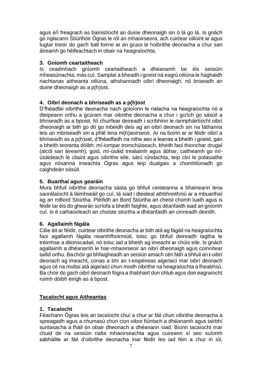agus é/í freagrach as bainistíocht an duine dheonaigh sin ó lá go lá. Is gnách go nglacann Stiúrthóir Ógras le ról an mhaoirseora, ach cuirtear oiliúint ar agus tugtar treoir do gach ball foirne ar an gcaoi le hoibrithe deonacha a chur san áireamh go héifeachtach in obair na heagraíochta.

#### **3. Gníomh ceartaitheach**

Is ceadmhach gníomh ceartaitheach a dhéanamh tar éis seisiúin mheasúnachta, más cuí. Samplaí a bheadh i gceist ná eagrú oiliúna le haghaidh riachtanas aitheanta oiliúna, athshannadh oibrí dheonaigh, nó briseadh an duine dheonaigh as a p(h)ost.

#### **4. Oibrí deonach a bhriseadh as a p(h)ost**

D'fhéadfaí oibrithe deonacha nach gcloíonn le rialacha na heagraíochta nó a dteipeann orthu a gcúram mar oibrithe deonacha a chur i gcrích go sásúil a bhriseadh as a bpoist. Ní chuirfear deireadh i scríbhinn le rannpháirtíocht oibrí dheonaigh ar bith go dtí go mbeidh deis ag an oibrí deonach sin na fáthanna leis an mbriseadh sin a phlé lena m(h)aoirseoir. Ar na boinn ar ar féidir oibrí a bhriseadh as a p(h)ost, d'fhéadfadh na nithe seo a leanas a bheith i gceist, gan a bheith teoranta dóibh: mí-iompar tromchúiseach, bheith faoi thionchar drugaí (alcól san áireamh), goid, mí-úsáid trealaimh agus ábhar, caitheamh go míúsáideach le cliaint agus oibrithe eile, sárú rúndachta, teip cloí le polasaithe agus nósanna imeachta Ógras agus teip dualgais a chomhlíonadh go caighdeán sásúil.

#### **5. Buarthaí agus gearáin**

Mura bhfuil oibrithe deonacha sásta go bhfuil ceisteanna a bhaineann lena saorálaíocht á láimhseáil go cuí, tá siad i dteideal athbhreithniú ar a mbuarthaí ag an mBord Stiúrtha. Pléifidh an Bord Stiúrtha an cheist chomh luath agus is féidir tar éis do ghearán scríofa a bheith faighte, agus déanfaidh siad an gníomh cuí. Is é cathaoirleach an choiste stiúrtha a dhéanfaidh an cinneadh deiridh.

#### **6. Agallaimh fágála**

Cibe áit ar féidir, cuirtear oibrithe deonacha ar bith atá ag fágáil na heagraíochta faoi agallamh fágála neamhfhoirmiúil, toisc go bhfuil deireadh tagtha le tréimhse a dtionscadail, nó toisc iad a bheith ag imeacht ar chúis eile. Is gnách agallaimh a dhéanamh le hiar-mhaoirseoir an oibrí dheonaigh agus coinnítear taifid orthu. Bachóir go bhfaigheadh an seisiún amach cén fáth a bhfuil an t-oibrí deonach ag imeacht, conas a bhí an t-eispéireas aige/aici mar oibrí deonach agus cé na moltaí atá aige/aici chun modh oibrithe na heagraíochta a fheabhsú. Ba chóir do gach oibrí deonach fógra a thabhairt don chlub agus don eagraíocht roimh dóibh éirigh as á bpost.

#### **Tacaíocht agus Aitheantas**

#### **1. Tacaíocht**

Féachann Ógras leis an tacaíocht chuí a chur ar fáil chun oibrithe deonacha a spreagadh agus a chumasú chun cion oibre fiúntach a dhéanamh agus tairbhí suntasacha a fháil ón obair dheonach a dhéanann siad. Bíonn tacaíocht mar chuid de na seisiúin rialta mhaoirseachta agus cuireann sí seo suíomh sábháilte ar fáil d'oibrithe deonacha inar féidir leo iad féin a chur in iúl,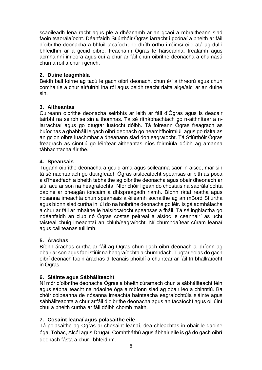scaoileadh lena racht agus plé a dhéanamh ar an gcaoi a mbraitheann siad faoin tsaorálaíocht. Déanfaidh Stiúrthóir Ógras iarracht i gcónaí a bheith ar fáil d'oibrithe deonacha a bhfuil tacaíocht de dhíth orthu i réimsí eile atá ag dul i bhfeidhm ar a gcuid oibre. Féachann Ógras le háiseanna, trealamh agus acmhainní imleora agus cuí a chur ar fáil chun oibrithe deonacha a chumasú chun a róil a chur i gcrích.

#### **2. Duine teagmhála**

Beidh ball foirne ag tacú le gach oibrí deonach, chun é/í a threorú agus chun comhairle a chur air/uirthi ina ról agus beidh teacht rialta aige/aici ar an duine sin.

#### **3. Aitheantas**

Cuireann oibrithe deonacha seirbhís ar leith ar fáil d'Ógras agus is deacair tairbhí na seirbhíse sin a thomhas. Tá sé ríthábhachtach go n-aithnítear a niarrachtaí agus go dtugtar luaíocht dóibh. Tá foireann Ógras freagrach as buíochas a ghabháil le gach oibrí deonach go neamhfhoirmiúil agus go rialta as an gcion oibre luachmhar a dhéanann siad don eagraíocht. Tá Stiúrthóir Ógras freagrach as cinntiú go léirítear aitheantas níos foirmiúla dóibh ag amanna tábhachtacha áirithe.

#### **4. Speansais**

Tugann oibrithe deonacha a gcuid ama agus scileanna saor in aisce, mar sin tá sé riachtanach go dtairgfeadh Ógras aisíocaíocht speansas ar bith as póca a d'fhéadfadh a bheith tabhaithe ag oibrithe deonacha agus obair dheonach ar siúl acu ar son na heagraíochta. Níor chóir ligean do chostais na saorálaíochta daoine ar bheagán ioncaim a dhíspreagadh riamh. Bíonn rátaí reatha agus nósanna imeachta chun speansais a éileamh socraithe ag an mBord Stiúrtha agus bíonn siad curtha in iúl do na hoibrithe deonacha go léir. Is gá admhálacha a chur ar fáil ar mhaithe le haisíocaíocht speansas a fháil. Tá sé inghlactha go ndéanfaidh an club nó Ógras costas peitreal a aisíoc le ceannairí as ucht taisteal chuig imeachtaí an chlub/eagraíocht. Ní chumhdaítear cúram leanaí agus caillteanas tuillimh.

#### **5. Árachas**

Bíonn árachas curtha ar fáil ag Ógras chun gach oibrí deonach a bhíonn ag obair ar son agus faoi stiúir na heagraíochta a chumhdach. Tugtar eolas do gach oibrí deonach faoin árachas dliteanais phoiblí a chuirtear ar fáil trí bhallraíocht in Ógras.

#### **6. Sláinte agus Sábháilteacht**

Ní mór d'oibrithe deonacha Ógras a bheith cúramach chun a sábháilteacht féin agus sábháilteacht na ndaoine óga a mbíonn siad ag obair leo a chinntiú. Ba chóir cóipeanna de nósanna imeachta bainteacha eagraíochtúla sláinte agus sábháilteachta a chur arfáil d'oibrithe deonacha agus an tacaíocht agus oiliúint chuí a bheith curtha ar fáil dóibh chomh maith.

#### **7. Cosaint leanaí agus polasaithe eile**

Tá polasaithe ag Ógras ar chosaint leanaí, dea-chleachtas in obair le daoine óga, Tobac, Alcól agus Drugaí, Comhtháthú agus ábhair eile is gá do gach oibrí deonach fásta a chur i bhfeidhm.